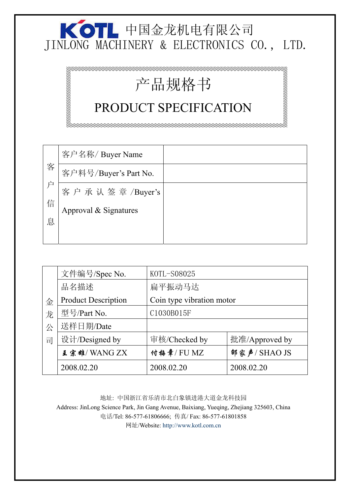## 中国金龙机电有限公司 JINLONG MACHINERY & ELECTRONICS CO., LTD.

 $\sim$ 

aanaana

12222222222222222222222

# 产品规格书

2222222222222222222222

### PRODUCT SPECIFICATION

|   | 客户名称/ Buyer Name      |  |
|---|-----------------------|--|
| 客 | 客户料号/Buyer's Part No. |  |
|   | 客户承认签章/Buyer's        |  |
| 信 | Approval & Signatures |  |
| 息 |                       |  |
|   |                       |  |

|   | 文件编号/Spec No.              | KOTL-S08025               |                |  |
|---|----------------------------|---------------------------|----------------|--|
|   | 品名描述                       | 扁平振动马达                    |                |  |
| 金 | <b>Product Description</b> | Coin type vibration motor |                |  |
| 龙 | 型号/Part No.                | C1030B015F                |                |  |
| 公 | 送样日期/Date                  |                           |                |  |
| 司 | 设计/Designed by             | 审核/Checked by             | 批准/Approved by |  |
|   | 王宗雄/WANGZX                 | 付梅章/FUMZ                  | 部家声/SHAO JS    |  |
|   | 2008.02.20                 | 2008.02.20                | 2008.02.20     |  |
|   |                            |                           |                |  |

地址: 中国浙江省乐清市北白象镇进港大道金龙科技园 Address: JinLong Science Park, Jin Gang Avenue, Baixiang, Yueqing, Zhejiang 325603, China 电话/Tel: 86-577-61806666; 传真/ Fax: 86-577-61801858 网址/Website: http://www.kotl.com.cn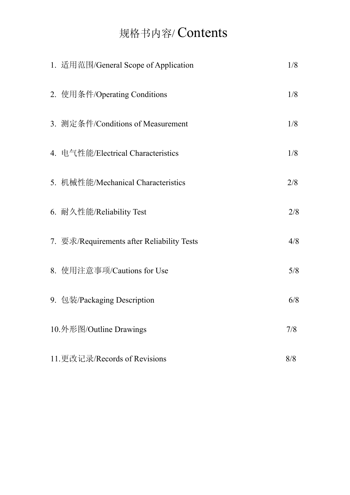### 规格书内容/ Contents

| 1. 适用范围/General Scope of Application       | 1/8 |
|--------------------------------------------|-----|
| 2. 使用条件/Operating Conditions               | 1/8 |
| 3. 测定条件/Conditions of Measurement          | 1/8 |
| 4. 电气性能/Electrical Characteristics         | 1/8 |
| 5. 机械性能/Mechanical Characteristics         | 2/8 |
| 6. 耐久性能/Reliability Test                   | 2/8 |
| 7. 要求/Requirements after Reliability Tests | 4/8 |
| 8. 使用注意事项/Cautions for Use                 | 5/8 |
| 9. 包装/Packaging Description                | 6/8 |
| 10.外形图/Outline Drawings                    | 7/8 |
| 11.更改记录/Records of Revisions               | 8/8 |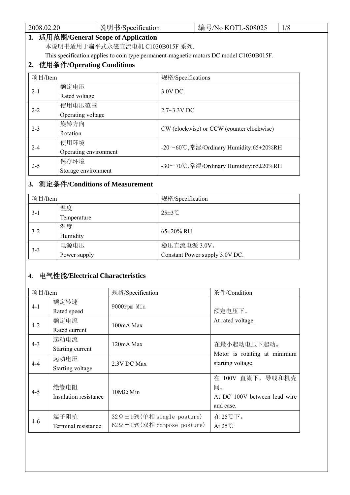| 2008.02.20                      |                              | 说明书/Specification                    |                                           | 编号/No KOTL-S08025                                                                      | 1/8 |
|---------------------------------|------------------------------|--------------------------------------|-------------------------------------------|----------------------------------------------------------------------------------------|-----|
|                                 |                              | 1. 适用范围/General Scope of Application |                                           |                                                                                        |     |
| 本说明书适用于扁平式永磁直流电机 C1030B015F 系列. |                              |                                      |                                           |                                                                                        |     |
|                                 |                              |                                      |                                           | This specification applies to coin type permanent-magnetic motors DC model C1030B015F. |     |
|                                 | 2. 使用条件/Operating Conditions |                                      |                                           |                                                                                        |     |
| 项目/Item                         |                              |                                      | 规格/Specifications                         |                                                                                        |     |
| 额定电压                            |                              |                                      |                                           |                                                                                        |     |
| $2 - 1$                         | Rated voltage                |                                      | 3.0V DC                                   |                                                                                        |     |
|                                 | 使用电压范围                       |                                      | $2.7 - 3.3V$ DC                           |                                                                                        |     |
| $2 - 2$                         | Operating voltage            |                                      |                                           |                                                                                        |     |
| $2 - 3$                         | 旋转方向                         |                                      |                                           |                                                                                        |     |
|                                 | Rotation                     |                                      | CW (clockwise) or CCW (counter clockwise) |                                                                                        |     |
| $2 - 4$                         | 使用环境                         |                                      |                                           |                                                                                        |     |
|                                 | Operating environment        |                                      | -20∼60℃,常湿/Ordinary Humidity:65±20%RH     |                                                                                        |     |
| $2 - 5$                         | 保存环境                         |                                      |                                           | -30∼70℃,常湿/Ordinary Humidity:65±20%RH                                                  |     |
|                                 | Storage environment          |                                      |                                           |                                                                                        |     |

### **3.** 测定条件**/Conditions of Measurement**

| 项目/Item |              | 规格/Specification               |  |
|---------|--------------|--------------------------------|--|
| $3-1$   | 温度           | $25\pm3$ °C                    |  |
|         | Temperature  |                                |  |
| $3 - 2$ | 湿度           | $65\pm20\%$ RH                 |  |
|         | Humidity     |                                |  |
| $3 - 3$ | 电源电压         | 稳压直流电源 3.0V。                   |  |
|         | Power supply | Constant Power supply 3.0V DC. |  |

#### **4.** 电气性能**/Electrical Characteristics**

| 项目/Item |                       | 规格/Specification                          | 条件/Condition                 |
|---------|-----------------------|-------------------------------------------|------------------------------|
| $4 - 1$ | 额定转速                  | 9000rpm Min                               |                              |
|         | Rated speed           |                                           | 额定电压下。                       |
| $4 - 2$ | 额定电流                  | 100mA Max                                 | At rated voltage.            |
|         | Rated current         |                                           |                              |
| $4 - 3$ | 起动电流                  | 120mA Max                                 | 在最小起动电压下起动。                  |
|         | Starting current      |                                           | Motor is rotating at minimum |
|         | 起动电压                  |                                           | starting voltage.            |
| $4 - 4$ | Starting voltage      | 2.3V DC Max                               |                              |
|         |                       |                                           | 在 100V 直流下, 导线和机壳            |
| $4 - 5$ | 绝缘电阻                  | $10MΩ$ Min                                | 间。                           |
|         | Insulation resistance |                                           | At DC 100V between lead wire |
|         |                       |                                           | and case.                    |
|         | 端子阻抗                  | $32 \Omega \pm 15\%$ (单相 single posture)  | 在25℃下。                       |
| 4-6     | Terminal resistance   | $62 \Omega \pm 15\%$ (双相 compose posture) | At $25^{\circ}$ C            |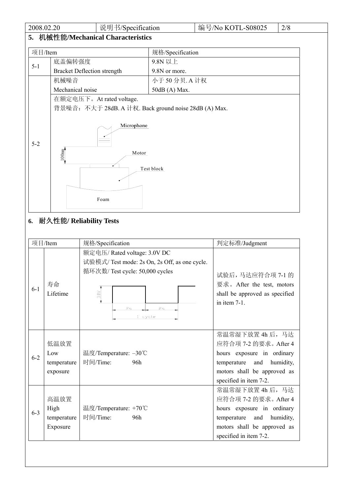| 2008.02.20 |                                                       | 说明书/Specification                  |                  | 编号/No KOTL-S08025 | 2/8 |
|------------|-------------------------------------------------------|------------------------------------|------------------|-------------------|-----|
|            |                                                       | 5. 机械性能/Mechanical Characteristics |                  |                   |     |
| 项目/Item    |                                                       |                                    | 规格/Specification |                   |     |
|            | 底盖偏转强度<br>9.8N 以上                                     |                                    |                  |                   |     |
| $5 - 1$    | <b>Bracket Deflection strength</b>                    |                                    | 9.8N or more.    |                   |     |
|            | 机械噪音                                                  |                                    | 小于 50 分贝. A 计权   |                   |     |
|            | Mechanical noise<br>50dB (A) Max.                     |                                    |                  |                   |     |
|            | 在额定电压下。At rated voltage.                              |                                    |                  |                   |     |
|            | 背景噪音: 不大于 28dB. A 计权. Back ground noise 28dB (A) Max. |                                    |                  |                   |     |
| $5 - 2$    | 100 <sub>mm</sub>                                     | Microphone<br>Motor<br>Foam        | Test block       |                   |     |

### **6.** 耐久性能**/ Reliability Tests**

|         | 项目/Item                                 | 规格/Specification                                                                                                                                             | 判定标准/Judgment                                                                                                                                                   |  |
|---------|-----------------------------------------|--------------------------------------------------------------------------------------------------------------------------------------------------------------|-----------------------------------------------------------------------------------------------------------------------------------------------------------------|--|
| $6 - 1$ | 寿命<br>Lifetime                          | 额定电压/Rated voltage: 3.0V DC<br>试验模式/ Test mode: 2s On, 2s Off, as one cycle.<br>循环次数/ Test cycle: 50,000 cycles<br>3.0 <sub>V</sub><br>2s<br>2s<br>$1$ cycle | 试验后,马达应符合项 7-1 的<br>要求。After the test, motors<br>shall be approved as specified<br>in item $7-1$ .                                                              |  |
| $6 - 2$ | 低温放置<br>Low<br>temperature<br>exposure  | 温度/Temperature: -30℃<br>时间/Time:<br>96h                                                                                                                      | 常温常湿下放置 4h 后, 马达<br>应符合项 7-2 的要求。After 4<br>hours exposure in ordinary<br>temperature and<br>humidity,<br>motors shall be approved as<br>specified in item 7-2. |  |
| $6 - 3$ | 高温放置<br>High<br>temperature<br>Exposure | 温度/Temperature: +70℃<br>时间/Time:<br>96h                                                                                                                      | 常温常湿下放置 4h 后, 马达<br>应符合项 7-2 的要求。After 4<br>hours exposure in ordinary<br>temperature and<br>humidity,<br>motors shall be approved as<br>specified in item 7-2. |  |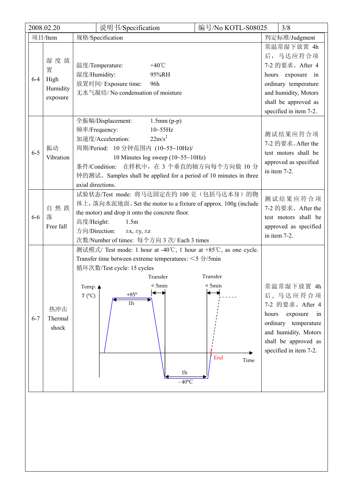| 2008.02.20                                          | 说明书/Specification                                                                                                                                                                                                                                                                                                           | 编号/No KOTL-S08025                                                                              | 3/8                                                                                                                                                                    |
|-----------------------------------------------------|-----------------------------------------------------------------------------------------------------------------------------------------------------------------------------------------------------------------------------------------------------------------------------------------------------------------------------|------------------------------------------------------------------------------------------------|------------------------------------------------------------------------------------------------------------------------------------------------------------------------|
| 项目/Item                                             | 规格/Specification                                                                                                                                                                                                                                                                                                            |                                                                                                | 判定标准/Judgment                                                                                                                                                          |
| 湿度放<br>置<br>$6 - 4$<br>High<br>Humidity<br>exposure | 温度/Temperature:<br>+40 $\degree$ C<br>湿度/Humidity:<br>95%RH<br>放置时间/ Exposure time:<br>96h<br>无水气凝结/ No condensation of moisture                                                                                                                                                                                            |                                                                                                | 常温常湿下放置 4h<br>后,马达应符合项<br>7-2 的要求。After 4<br>hours exposure<br>in<br>ordinary temperature<br>and humidity, Motors<br>shall be approved as<br>specified in item 7-2.    |
| 振动<br>$6 - 5$<br>Vibration                          | 全振幅/Displacement:<br>$1.5$ mm $(p-p)$<br>频率/Frequency:<br>$10 - 55$ Hz<br>$22m/s^2$<br>加速度/Acceleration:<br>周期/Period: 10 分钟范围内 (10~55~10Hz)/<br>10 Minutes log sweep $(10-55-10Hz)$<br>条件/Condition: 在样机中, 在 3 个垂直的轴方向每个方向做 10 分<br>钟的测试。Samples shall be applied for a period of 10 minutes in three<br>axial directions. | 测试结果应符合项<br>7-2 的要求。After the<br>test motors shall be<br>approved as specified<br>in item 7-2. |                                                                                                                                                                        |
| 自然跌<br>落<br>$6-6$<br>Free fall                      | 试验状态/Test mode: 将马达固定在约 100 克(包括马达本身)的物<br>体上, 落向水泥地面。 Set the motor to a fixture of approx. 100g (include<br>the motor) and drop it onto the concrete floor.<br>高度/Height:<br>1.5m<br>方向/Direction:<br>$\pm x, \pm y, \pm z$<br>次数/Number of times: 每个方向 3 次/ Each 3 times                                                 | 测试结果应符合项<br>7-2 的要求。After the<br>test motors shall be<br>approved as specified<br>in item 7-2. |                                                                                                                                                                        |
| 热冲击<br>Thermal<br>$6 - 7$<br>shock                  | 测试模式/ Test mode: 1 hour at -40°C, 1 hour at +85°C, as one cycle.<br>Transfer time between extreme temperatures: $\leq$ 5 $\frac{1}{2}$ /5min<br>循环次数/Test cycle: 15 cycles<br>Transfer<br>< 5min<br>Temp. ▲<br>$+85^{\circ}$<br>$T (^{\circ}C)$<br>$1h$<br>1h<br>$-40^{\circ}$ C                                            | Transfer<br>$<$ 5 $min$<br>End<br>Time                                                         | 常温常湿下放置 4h<br>后,马达应符合项<br>7-2 的要求。After 4<br>hours<br>exposure<br>1n<br>ordinary temperature<br>and humidity, Motors<br>shall be approved as<br>specified in item 7-2. |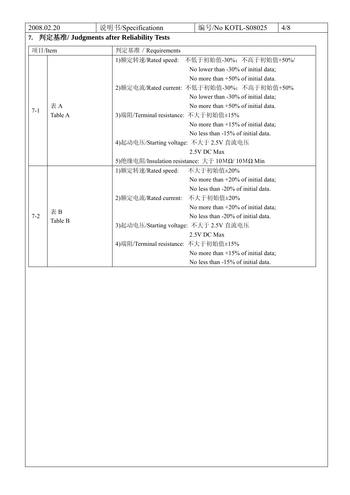| 2008.02.20 |                                         | 说明书/Specificationn                     | 编号/No KOTL-S08025                               | 4/8 |  |  |
|------------|-----------------------------------------|----------------------------------------|-------------------------------------------------|-----|--|--|
| 7.         | 判定基准/ Judgments after Reliability Tests |                                        |                                                 |     |  |  |
| 项目/Item    |                                         | 判定基准 / Requirements                    |                                                 |     |  |  |
|            |                                         | 1)额定转速/Rated speed:                    | 不低于初始值-30%; 不高于初始值+50%/                         |     |  |  |
|            |                                         |                                        | No lower than -30% of initial data;             |     |  |  |
| $7 - 1$    |                                         |                                        | No more than $+50\%$ of initial data.           |     |  |  |
|            |                                         |                                        | 2)额定电流/Rated current: 不低于初始值-30%; 不高于初始值+50%    |     |  |  |
|            |                                         |                                        | No lower than -30% of initial data;             |     |  |  |
|            | 表A                                      |                                        | No more than $+50\%$ of initial data.           |     |  |  |
|            | Table A                                 | 3)端阻/Terminal resistance: 不大于初始值±15%   |                                                 |     |  |  |
|            |                                         |                                        | No more than $+15%$ of initial data;            |     |  |  |
|            |                                         |                                        | No less than -15% of initial data.              |     |  |  |
|            |                                         |                                        | 4)起动电压/Starting voltage: 不大于 2.5V 直流电压          |     |  |  |
|            |                                         |                                        | 2.5V DC Max                                     |     |  |  |
|            |                                         |                                        | 5)绝缘电阻/Insulation resistance: 大于 10MΩ/ 10MΩ Min |     |  |  |
|            |                                         | 1)额定转速/Rated speed:                    | 不大于初始值±20%                                      |     |  |  |
|            |                                         |                                        | No more than $+20\%$ of initial data;           |     |  |  |
|            |                                         |                                        | No less than -20% of initial data.              |     |  |  |
|            |                                         | 2)额定电流/Rated current:                  | 不大于初始值±20%                                      |     |  |  |
|            | 表B                                      |                                        | No more than $+20\%$ of initial data;           |     |  |  |
| $7 - 2$    | Table B                                 |                                        | No less than -20% of initial data.              |     |  |  |
|            |                                         | 3)起动电压/Starting voltage: 不大于 2.5V 直流电压 |                                                 |     |  |  |
|            |                                         |                                        | 2.5V DC Max                                     |     |  |  |
|            |                                         | 4) 端阻/Terminal resistance: 不大于初始值±15%  |                                                 |     |  |  |
|            |                                         |                                        | No more than $+15\%$ of initial data;           |     |  |  |
|            |                                         |                                        | No less than -15% of initial data.              |     |  |  |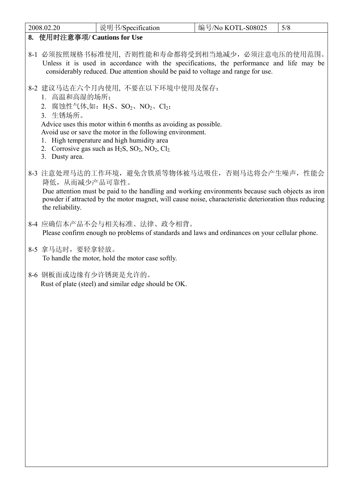| 2008.02.20                                 | 说明书/Specification                                                                                                                                                                                                                                                                                                                                              | 编号/No KOTL-S08025 | 5/8 |
|--------------------------------------------|----------------------------------------------------------------------------------------------------------------------------------------------------------------------------------------------------------------------------------------------------------------------------------------------------------------------------------------------------------------|-------------------|-----|
| 8. 使用时注意事项/ Cautions for Use               |                                                                                                                                                                                                                                                                                                                                                                |                   |     |
|                                            | 8-1 必须按照规格书标准使用, 否则性能和寿命都将受到相当地减少,必须注意电压的使用范围。<br>Unless it is used in accordance with the specifications, the performance and life may be<br>considerably reduced. Due attention should be paid to voltage and range for use.                                                                                                                                 |                   |     |
| 1. 高温和高湿的场所;<br>3. 生锈场所。<br>3. Dusty area. | 8-2 建议马达在六个月内使用, 不要在以下环境中使用及保存:<br>2. 腐蚀性气体,如: H <sub>2</sub> S、SO <sub>2</sub> 、NO <sub>2</sub> 、Cl <sub>2</sub> ;<br>Advice uses this motor within 6 months as avoiding as possible.<br>Avoid use or save the motor in the following environment.<br>High temperature and high humidity area<br>2. Corrosive gas such as $H_2S$ , $SO_2$ , $NO_2$ , $Cl_2$ . |                   |     |
| 降低,从而减少产品可靠性。<br>the reliability.          | 8-3 注意处理马达的工作环境, 避免含铁质等物体被马达吸住, 否则马达将会产生噪声, 性能会<br>Due attention must be paid to the handling and working environments because such objects as iron<br>powder if attracted by the motor magnet, will cause noise, characteristic deterioration thus reducing                                                                                                   |                   |     |
|                                            | 8-4 应确信本产品不会与相关标准、法律、政令相背。<br>Please confirm enough no problems of standards and laws and ordinances on your cellular phone.                                                                                                                                                                                                                                   |                   |     |
| 8-5 拿马达时, 要轻拿轻放。                           | To handle the motor, hold the motor case softly.                                                                                                                                                                                                                                                                                                               |                   |     |
| 8-6 钢板面或边缘有少许锈斑是允许的。                       | Rust of plate (steel) and similar edge should be OK.                                                                                                                                                                                                                                                                                                           |                   |     |
|                                            |                                                                                                                                                                                                                                                                                                                                                                |                   |     |
|                                            |                                                                                                                                                                                                                                                                                                                                                                |                   |     |
|                                            |                                                                                                                                                                                                                                                                                                                                                                |                   |     |
|                                            |                                                                                                                                                                                                                                                                                                                                                                |                   |     |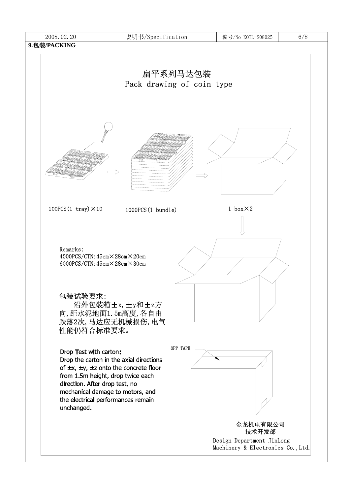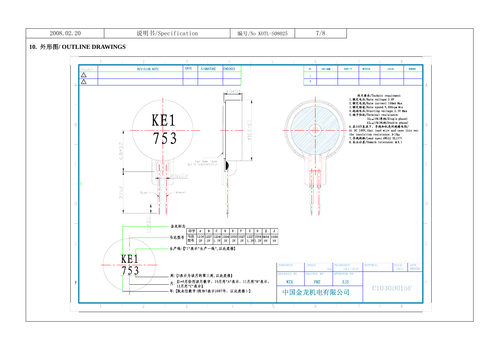